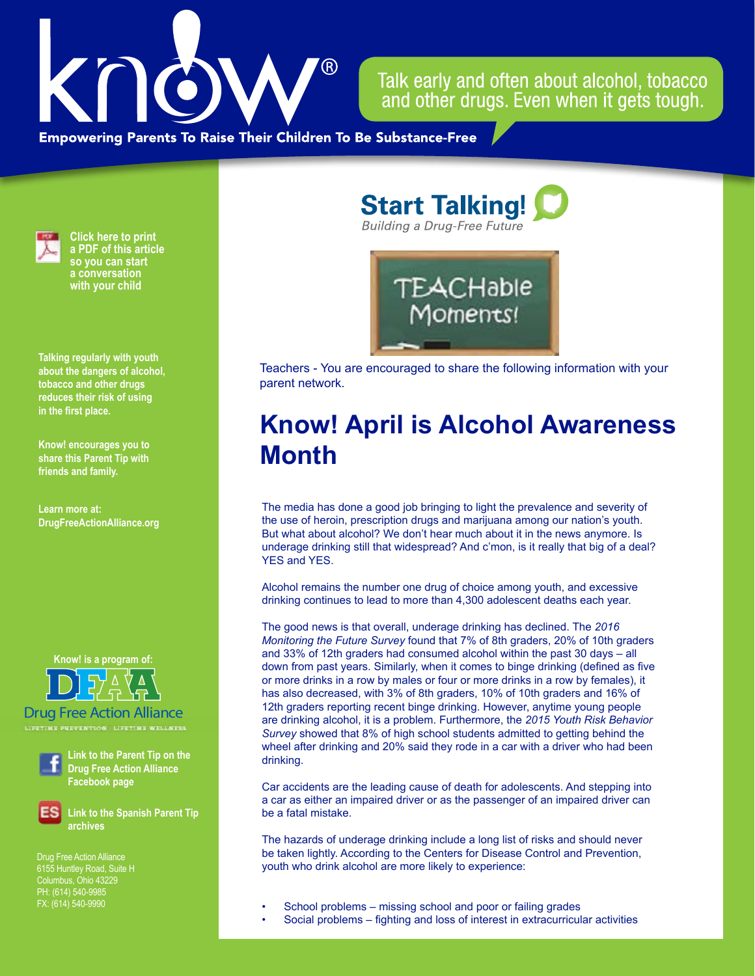

Talk early and often about alcohol, tobacco and other drugs. Even when it gets tough.

**Empowering Parents To Raise Their Children To Be Substance-Free** 



**Click here to print a PDF of this article so you can start a conversation with your child**

**Talking regularly with youth about the dangers of alcohol, tobacco and other drugs reduces their risk of using in the first place.**

**Know! encourages you to share this Parent Tip with friends and family.**

**Learn more at: DrugFreeActionAlliance.org**

**Know! is a program of:**



Drug Free Action Alliance **LIFETIME PREVENTION | LIFETIME WELLNESS**



**Link to the Parent Tip on the Drug Free Action Alliance Facebook page**

**Link to the Spanish Parent Tip archives**

Drug Free Action Alliance 6155 Huntley Road, Suite H PH: (614) 540-9985 FX: (614) 540-9990

**Start Talking! Building a Drug-Free Future** 



Teachers - You are encouraged to share the following information with your parent network.

## **Know! April is Alcohol Awareness Month**

The media has done a good job bringing to light the prevalence and severity of the use of heroin, prescription drugs and marijuana among our nation's youth. But what about alcohol? We don't hear much about it in the news anymore. Is underage drinking still that widespread? And c'mon, is it really that big of a deal? YES and YES.

Alcohol remains the number one drug of choice among youth, and excessive drinking continues to lead to more than 4,300 adolescent deaths each year.

The good news is that overall, underage drinking has declined. The *2016 Monitoring the Future Survey* found that 7% of 8th graders, 20% of 10th graders and 33% of 12th graders had consumed alcohol within the past 30 days – all down from past years. Similarly, when it comes to binge drinking (defined as five or more drinks in a row by males or four or more drinks in a row by females), it has also decreased, with 3% of 8th graders, 10% of 10th graders and 16% of 12th graders reporting recent binge drinking. However, anytime young people are drinking alcohol, it is a problem. Furthermore, the *2015 Youth Risk Behavior Survey* showed that 8% of high school students admitted to getting behind the wheel after drinking and 20% said they rode in a car with a driver who had been drinking.

Car accidents are the leading cause of death for adolescents. And stepping into a car as either an impaired driver or as the passenger of an impaired driver can be a fatal mistake.

The hazards of underage drinking include a long list of risks and should never be taken lightly. According to the Centers for Disease Control and Prevention, youth who drink alcohol are more likely to experience:

- School problems missing school and poor or failing grades
- Social problems fighting and loss of interest in extracurricular activities